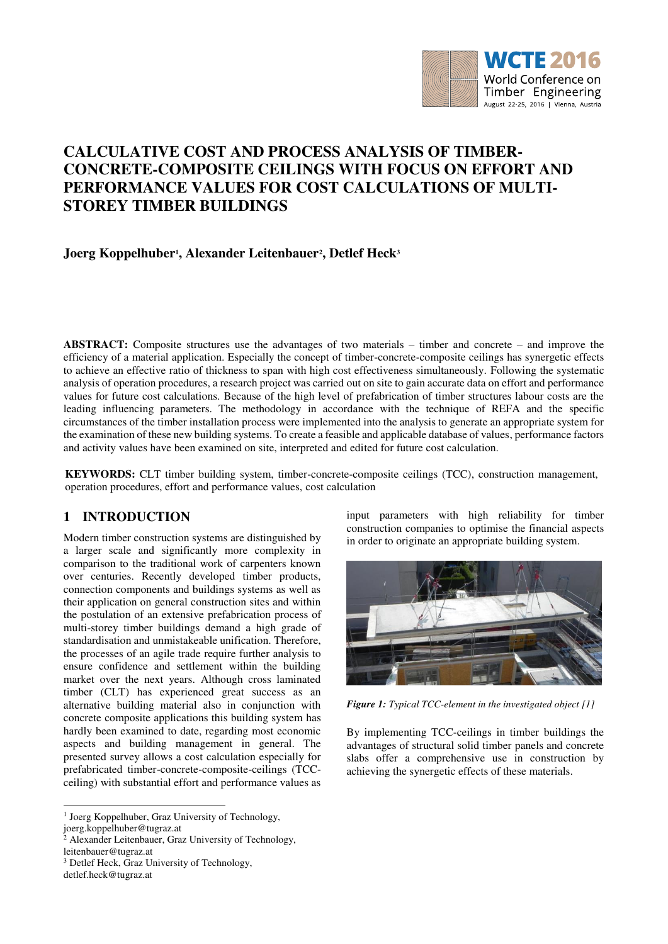

# **CALCULATIVE COST AND PROCESS ANALYSIS OF TIMBER-CONCRETE-COMPOSITE CEILINGS WITH FOCUS ON EFFORT AND PERFORMANCE VALUES FOR COST CALCULATIONS OF MULTI-STOREY TIMBER BUILDINGS**

# **Joerg Koppelhuber<sup>1</sup> , Alexander Leitenbauer<sup>2</sup> , Detlef Heck<sup>3</sup>**

**ABSTRACT:** Composite structures use the advantages of two materials – timber and concrete – and improve the efficiency of a material application. Especially the concept of timber-concrete-composite ceilings has synergetic effects to achieve an effective ratio of thickness to span with high cost effectiveness simultaneously. Following the systematic analysis of operation procedures, a research project was carried out on site to gain accurate data on effort and performance values for future cost calculations. Because of the high level of prefabrication of timber structures labour costs are the leading influencing parameters. The methodology in accordance with the technique of REFA and the specific circumstances of the timber installation process were implemented into the analysis to generate an appropriate system for the examination of these new building systems. To create a feasible and applicable database of values, performance factors and activity values have been examined on site, interpreted and edited for future cost calculation.

**KEYWORDS:** CLT timber building system, timber-concrete-composite ceilings (TCC), construction management, operation procedures, effort and performance values, cost calculation

# **1 INTRODUCTION**

Modern timber construction systems are distinguished by a larger scale and significantly more complexity in comparison to the traditional work of carpenters known over centuries. Recently developed timber products, connection components and buildings systems as well as their application on general construction sites and within the postulation of an extensive prefabrication process of multi-storey timber buildings demand a high grade of standardisation and unmistakeable unification. Therefore, the processes of an agile trade require further analysis to ensure confidence and settlement within the building market over the next years. Although cross laminated timber (CLT) has experienced great success as an alternative building material also in conjunction with concrete composite applications this building system has hardly been examined to date, regarding most economic aspects and building management in general. The presented survey allows a cost calculation especially for prefabricated timber-concrete-composite-ceilings (TCCceiling) with substantial effort and performance values as

<sup>1</sup> Joerg Koppelhuber, Graz University of Technology, joerg.koppelhuber@tugraz.at

2 Alexander Leitenbauer, Graz University of Technology, leitenbauer@tugraz.at

-

input parameters with high reliability for timber construction companies to optimise the financial aspects in order to originate an appropriate building system.



*Figure 1: Typical TCC-element in the investigated object [1]*

By implementing TCC-ceilings in timber buildings the advantages of structural solid timber panels and concrete slabs offer a comprehensive use in construction by achieving the synergetic effects of these materials.

<sup>3</sup> Detlef Heck, Graz University of Technology,

detlef.heck@tugraz.at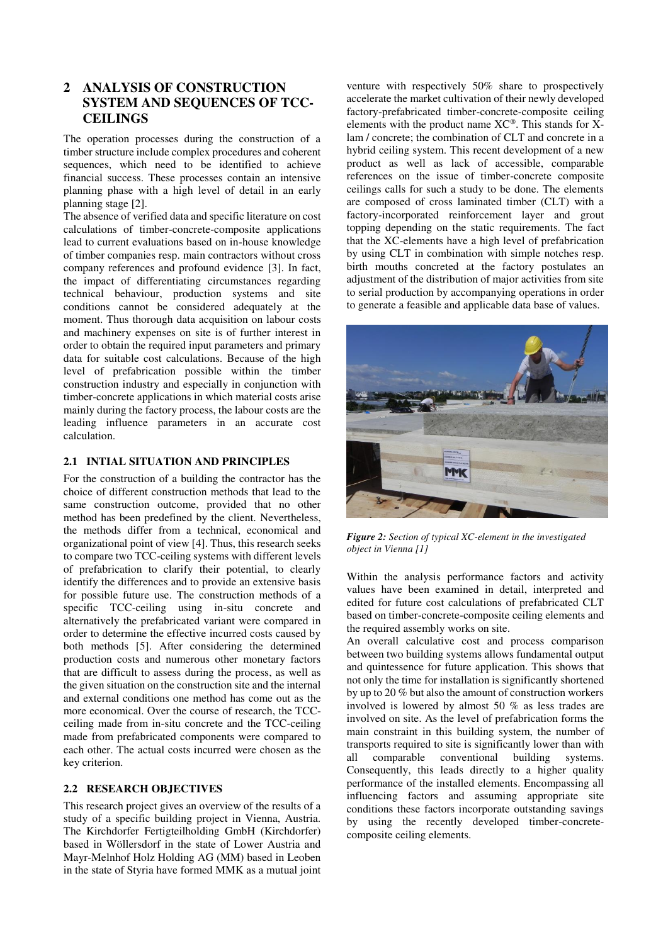# **2 ANALYSIS OF CONSTRUCTION SYSTEM AND SEQUENCES OF TCC-CEILINGS**

The operation processes during the construction of a timber structure include complex procedures and coherent sequences, which need to be identified to achieve financial success. These processes contain an intensive planning phase with a high level of detail in an early planning stage [2].

The absence of verified data and specific literature on cost calculations of timber-concrete-composite applications lead to current evaluations based on in-house knowledge of timber companies resp. main contractors without cross company references and profound evidence [3]. In fact, the impact of differentiating circumstances regarding technical behaviour, production systems and site conditions cannot be considered adequately at the moment. Thus thorough data acquisition on labour costs and machinery expenses on site is of further interest in order to obtain the required input parameters and primary data for suitable cost calculations. Because of the high level of prefabrication possible within the timber construction industry and especially in conjunction with timber-concrete applications in which material costs arise mainly during the factory process, the labour costs are the leading influence parameters in an accurate cost calculation.

### **2.1 INTIAL SITUATION AND PRINCIPLES**

For the construction of a building the contractor has the choice of different construction methods that lead to the same construction outcome, provided that no other method has been predefined by the client. Nevertheless, the methods differ from a technical, economical and organizational point of view [4]. Thus, this research seeks to compare two TCC-ceiling systems with different levels of prefabrication to clarify their potential, to clearly identify the differences and to provide an extensive basis for possible future use. The construction methods of a specific TCC-ceiling using in-situ concrete and alternatively the prefabricated variant were compared in order to determine the effective incurred costs caused by both methods [5]. After considering the determined production costs and numerous other monetary factors that are difficult to assess during the process, as well as the given situation on the construction site and the internal and external conditions one method has come out as the more economical. Over the course of research, the TCCceiling made from in-situ concrete and the TCC-ceiling made from prefabricated components were compared to each other. The actual costs incurred were chosen as the key criterion.

### **2.2 RESEARCH OBJECTIVES**

This research project gives an overview of the results of a study of a specific building project in Vienna, Austria. The Kirchdorfer Fertigteilholding GmbH (Kirchdorfer) based in Wöllersdorf in the state of Lower Austria and Mayr-Melnhof Holz Holding AG (MM) based in Leoben in the state of Styria have formed MMK as a mutual joint

venture with respectively 50% share to prospectively accelerate the market cultivation of their newly developed factory-prefabricated timber-concrete-composite ceiling elements with the product name XC®. This stands for Xlam / concrete; the combination of CLT and concrete in a hybrid ceiling system. This recent development of a new product as well as lack of accessible, comparable references on the issue of timber-concrete composite ceilings calls for such a study to be done. The elements are composed of cross laminated timber (CLT) with a factory-incorporated reinforcement layer and grout topping depending on the static requirements. The fact that the XC-elements have a high level of prefabrication by using CLT in combination with simple notches resp. birth mouths concreted at the factory postulates an adjustment of the distribution of major activities from site to serial production by accompanying operations in order to generate a feasible and applicable data base of values.



*Figure 2: Section of typical XC-element in the investigated object in Vienna [1]*

Within the analysis performance factors and activity values have been examined in detail, interpreted and edited for future cost calculations of prefabricated CLT based on timber-concrete-composite ceiling elements and the required assembly works on site.

An overall calculative cost and process comparison between two building systems allows fundamental output and quintessence for future application. This shows that not only the time for installation is significantly shortened by up to 20 % but also the amount of construction workers involved is lowered by almost 50 % as less trades are involved on site. As the level of prefabrication forms the main constraint in this building system, the number of transports required to site is significantly lower than with all comparable conventional building systems. Consequently, this leads directly to a higher quality performance of the installed elements. Encompassing all influencing factors and assuming appropriate site conditions these factors incorporate outstanding savings by using the recently developed timber-concretecomposite ceiling elements.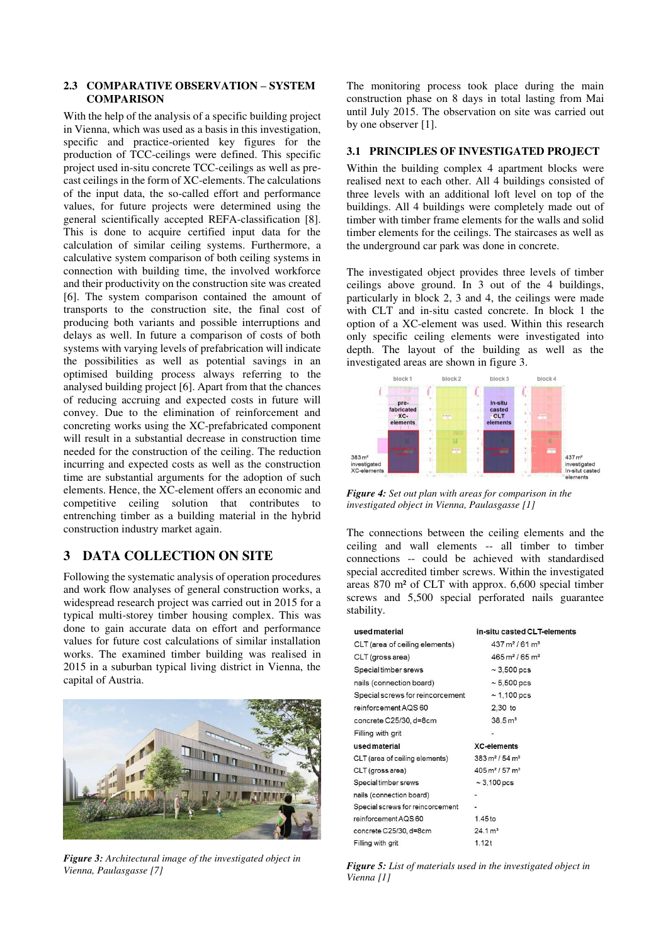#### **2.3 COMPARATIVE OBSERVATION – SYSTEM COMPARISON**

With the help of the analysis of a specific building project in Vienna, which was used as a basis in this investigation, specific and practice-oriented key figures for the production of TCC-ceilings were defined. This specific project used in-situ concrete TCC-ceilings as well as precast ceilings in the form of XC-elements. The calculations of the input data, the so-called effort and performance values, for future projects were determined using the general scientifically accepted REFA-classification [8]. This is done to acquire certified input data for the calculation of similar ceiling systems. Furthermore, a calculative system comparison of both ceiling systems in connection with building time, the involved workforce and their productivity on the construction site was created [6]. The system comparison contained the amount of transports to the construction site, the final cost of producing both variants and possible interruptions and delays as well. In future a comparison of costs of both systems with varying levels of prefabrication will indicate the possibilities as well as potential savings in an optimised building process always referring to the analysed building project [6]. Apart from that the chances of reducing accruing and expected costs in future will convey. Due to the elimination of reinforcement and concreting works using the XC-prefabricated component will result in a substantial decrease in construction time needed for the construction of the ceiling. The reduction incurring and expected costs as well as the construction time are substantial arguments for the adoption of such elements. Hence, the XC-element offers an economic and competitive ceiling solution that contributes to entrenching timber as a building material in the hybrid construction industry market again.

# **3 DATA COLLECTION ON SITE**

Following the systematic analysis of operation procedures and work flow analyses of general construction works, a widespread research project was carried out in 2015 for a typical multi-storey timber housing complex. This was done to gain accurate data on effort and performance values for future cost calculations of similar installation works. The examined timber building was realised in 2015 in a suburban typical living district in Vienna, the capital of Austria.



*Figure 3: Architectural image of the investigated object in Vienna, Paulasgasse [7]*

The monitoring process took place during the main construction phase on 8 days in total lasting from Mai until July 2015. The observation on site was carried out by one observer [1].

#### **3.1 PRINCIPLES OF INVESTIGATED PROJECT**

Within the building complex 4 apartment blocks were realised next to each other. All 4 buildings consisted of three levels with an additional loft level on top of the buildings. All 4 buildings were completely made out of timber with timber frame elements for the walls and solid timber elements for the ceilings. The staircases as well as the underground car park was done in concrete.

The investigated object provides three levels of timber ceilings above ground. In 3 out of the 4 buildings, particularly in block 2, 3 and 4, the ceilings were made with CLT and in-situ casted concrete. In block 1 the option of a XC-element was used. Within this research only specific ceiling elements were investigated into depth. The layout of the building as well as the investigated areas are shown in figure 3.



*Figure 4: Set out plan with areas for comparison in the investigated object in Vienna, Paulasgasse [1]*

The connections between the ceiling elements and the ceiling and wall elements -- all timber to timber connections -- could be achieved with standardised special accredited timber screws. Within the investigated areas 870 m² of CLT with approx. 6,600 special timber screws and 5,500 special perforated nails guarantee stability.

| used material                    | in-situ casted CLT-elements              |
|----------------------------------|------------------------------------------|
| CLT (area of ceiling elements)   | $437 \,\mathrm{m}^2 / 61 \,\mathrm{m}^3$ |
| CLT (gross area)                 | $465 \,\mathrm{m}^2 / 65 \,\mathrm{m}^3$ |
| Special timber srews             | $\sim$ 3,500 pcs                         |
| nails (connection board)         | $\sim 5.500$ pcs                         |
| Special screws for reincorcement | $\sim$ 1.100 pcs                         |
| reinforcement AQS 60             | 2,30 to                                  |
| concrete C25/30, d=8cm           | 38.5 m <sup>3</sup>                      |
| Filling with grit                |                                          |
| used material                    | <b>XC-elements</b>                       |
| CLT (area of ceiling elements)   | $383 \,\mathrm{m}^2$ / 54 $\mathrm{m}^3$ |
| CLT (gross area)                 | $405 \,\mathrm{m}^2$ / 57 $\mathrm{m}^3$ |
| Special timber srews             | $\sim$ 3,100 pcs                         |
| nails (connection board)         |                                          |
| Special screws for reincorcement |                                          |
| reinforcement AQS 60             | 1.45 <sub>to</sub>                       |
| concrete C25/30, d=8cm           | 24.1 m <sup>3</sup>                      |
| Filling with arit                | 1 1 2 +                                  |

*Figure 5: List of materials used in the investigated object in Vienna [1]*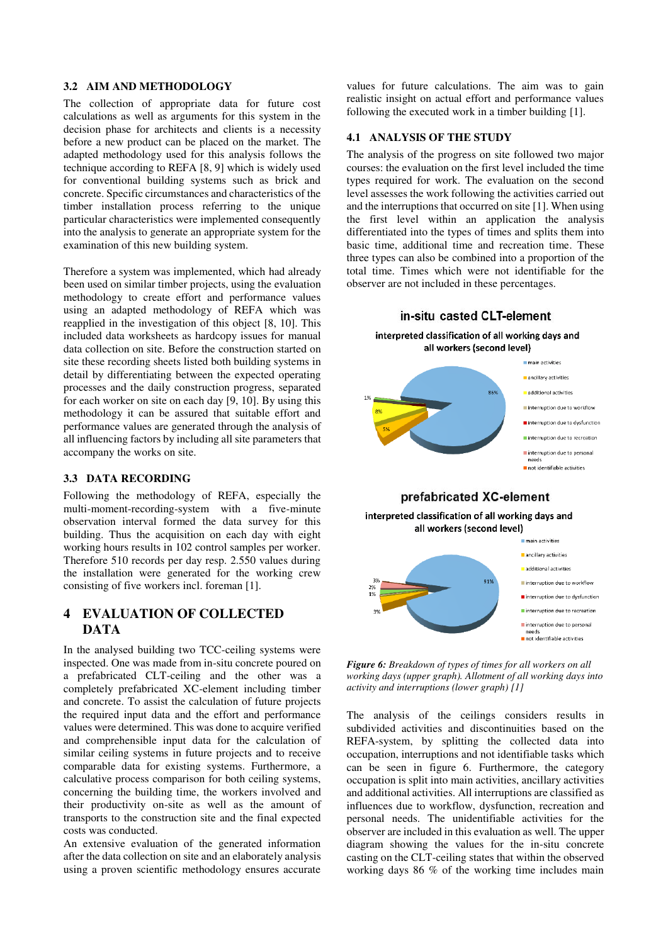#### **3.2 AIM AND METHODOLOGY**

The collection of appropriate data for future cost calculations as well as arguments for this system in the decision phase for architects and clients is a necessity before a new product can be placed on the market. The adapted methodology used for this analysis follows the technique according to REFA [8, 9] which is widely used for conventional building systems such as brick and concrete. Specific circumstances and characteristics of the timber installation process referring to the unique particular characteristics were implemented consequently into the analysis to generate an appropriate system for the examination of this new building system.

Therefore a system was implemented, which had already been used on similar timber projects, using the evaluation methodology to create effort and performance values using an adapted methodology of REFA which was reapplied in the investigation of this object [8, 10]. This included data worksheets as hardcopy issues for manual data collection on site. Before the construction started on site these recording sheets listed both building systems in detail by differentiating between the expected operating processes and the daily construction progress, separated for each worker on site on each day [9, 10]. By using this methodology it can be assured that suitable effort and performance values are generated through the analysis of all influencing factors by including all site parameters that accompany the works on site.

#### **3.3 DATA RECORDING**

Following the methodology of REFA, especially the multi-moment-recording-system with a five-minute observation interval formed the data survey for this building. Thus the acquisition on each day with eight working hours results in 102 control samples per worker. Therefore 510 records per day resp. 2.550 values during the installation were generated for the working crew consisting of five workers incl. foreman [1].

# **4 EVALUATION OF COLLECTED DATA**

In the analysed building two TCC-ceiling systems were inspected. One was made from in-situ concrete poured on a prefabricated CLT-ceiling and the other was a completely prefabricated XC-element including timber and concrete. To assist the calculation of future projects the required input data and the effort and performance values were determined. This was done to acquire verified and comprehensible input data for the calculation of similar ceiling systems in future projects and to receive comparable data for existing systems. Furthermore, a calculative process comparison for both ceiling systems, concerning the building time, the workers involved and their productivity on-site as well as the amount of transports to the construction site and the final expected costs was conducted.

An extensive evaluation of the generated information after the data collection on site and an elaborately analysis using a proven scientific methodology ensures accurate

values for future calculations. The aim was to gain realistic insight on actual effort and performance values following the executed work in a timber building [1].

#### **4.1 ANALYSIS OF THE STUDY**

The analysis of the progress on site followed two major courses: the evaluation on the first level included the time types required for work. The evaluation on the second level assesses the work following the activities carried out and the interruptions that occurred on site [1]. When using the first level within an application the analysis differentiated into the types of times and splits them into basic time, additional time and recreation time. These three types can also be combined into a proportion of the total time. Times which were not identifiable for the observer are not included in these percentages.



*Figure 6: Breakdown of types of times for all workers on all working days (upper graph). Allotment of all working days into activity and interruptions (lower graph) [1]*

The analysis of the ceilings considers results in subdivided activities and discontinuities based on the REFA-system, by splitting the collected data into occupation, interruptions and not identifiable tasks which can be seen in figure 6. Furthermore, the category occupation is split into main activities, ancillary activities and additional activities. All interruptions are classified as influences due to workflow, dysfunction, recreation and personal needs. The unidentifiable activities for the observer are included in this evaluation as well. The upper diagram showing the values for the in-situ concrete casting on the CLT-ceiling states that within the observed working days 86 % of the working time includes main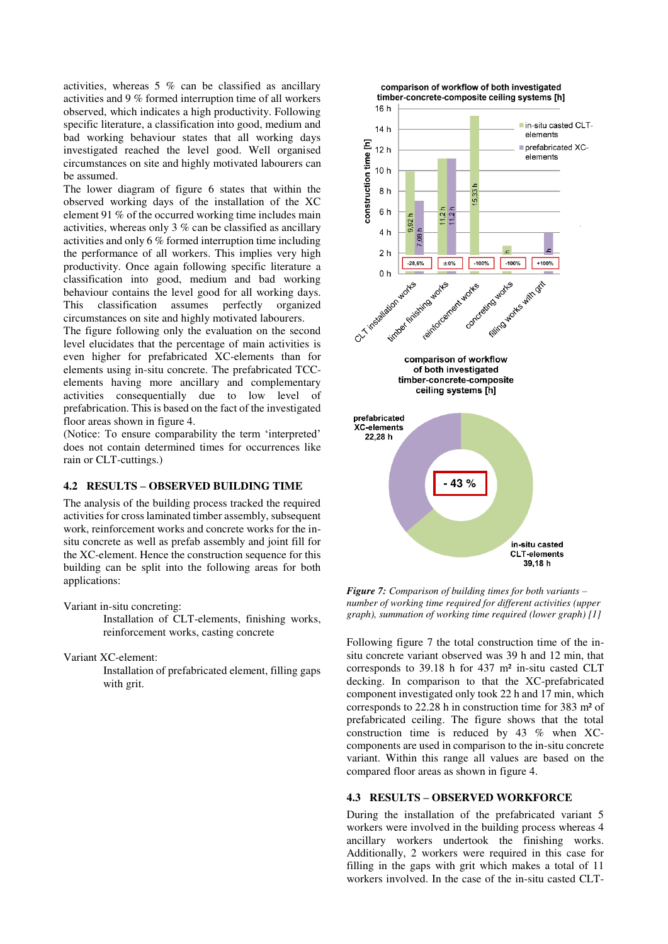activities, whereas 5 % can be classified as ancillary activities and 9 % formed interruption time of all workers observed, which indicates a high productivity. Following specific literature, a classification into good, medium and bad working behaviour states that all working days investigated reached the level good. Well organised circumstances on site and highly motivated labourers can be assumed.

The lower diagram of figure 6 states that within the observed working days of the installation of the XC element 91 % of the occurred working time includes main activities, whereas only 3 % can be classified as ancillary activities and only 6 % formed interruption time including the performance of all workers. This implies very high productivity. Once again following specific literature a classification into good, medium and bad working behaviour contains the level good for all working days. This classification assumes perfectly organized circumstances on site and highly motivated labourers.

The figure following only the evaluation on the second level elucidates that the percentage of main activities is even higher for prefabricated XC-elements than for elements using in-situ concrete. The prefabricated TCCelements having more ancillary and complementary activities consequentially due to low level of prefabrication. This is based on the fact of the investigated floor areas shown in figure 4.

(Notice: To ensure comparability the term 'interpreted' does not contain determined times for occurrences like rain or CLT-cuttings.)

### **4.2 RESULTS – OBSERVED BUILDING TIME**

The analysis of the building process tracked the required activities for cross laminated timber assembly, subsequent work, reinforcement works and concrete works for the insitu concrete as well as prefab assembly and joint fill for the XC-element. Hence the construction sequence for this building can be split into the following areas for both applications:

Variant in-situ concreting:

Installation of CLT-elements, finishing works, reinforcement works, casting concrete

Variant XC-element:

Installation of prefabricated element, filling gaps with grit.



*Figure 7: Comparison of building times for both variants – number of working time required for different activities (upper graph), summation of working time required (lower graph) [1]* 

Following figure 7 the total construction time of the insitu concrete variant observed was 39 h and 12 min, that corresponds to 39.18 h for 437 m² in-situ casted CLT decking. In comparison to that the XC-prefabricated component investigated only took 22 h and 17 min, which corresponds to 22.28 h in construction time for 383 m² of prefabricated ceiling. The figure shows that the total construction time is reduced by 43 % when XCcomponents are used in comparison to the in-situ concrete variant. Within this range all values are based on the compared floor areas as shown in figure 4.

#### **4.3 RESULTS – OBSERVED WORKFORCE**

During the installation of the prefabricated variant 5 workers were involved in the building process whereas 4 ancillary workers undertook the finishing works. Additionally, 2 workers were required in this case for filling in the gaps with grit which makes a total of 11 workers involved. In the case of the in-situ casted CLT-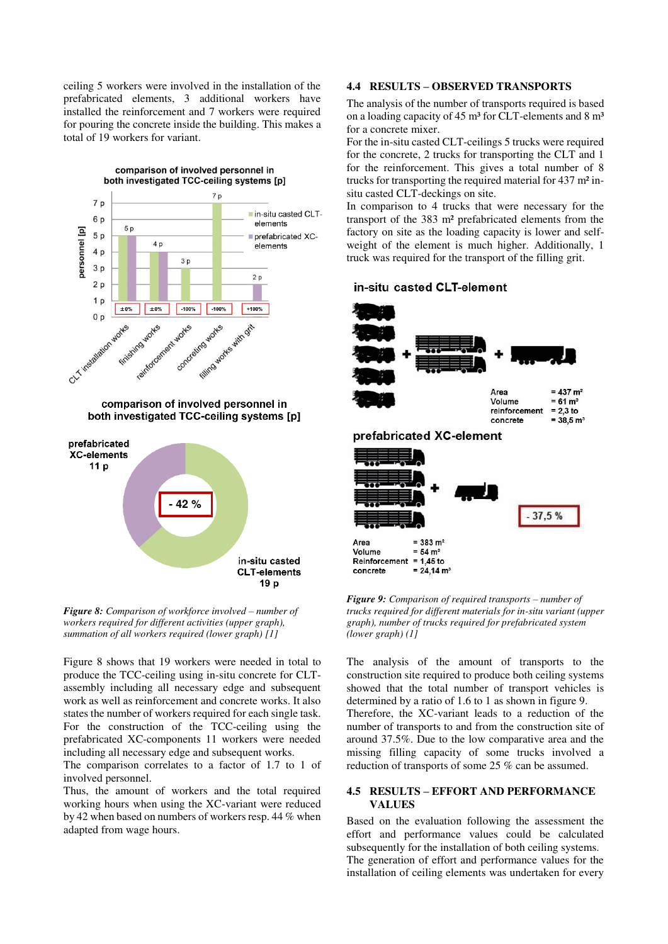ceiling 5 workers were involved in the installation of the prefabricated elements, 3 additional workers have installed the reinforcement and 7 workers were required for pouring the concrete inside the building. This makes a total of 19 workers for variant.



*Figure 8: Comparison of workforce involved – number of workers required for different activities (upper graph), summation of all workers required (lower graph) [1]* 

Figure 8 shows that 19 workers were needed in total to produce the TCC-ceiling using in-situ concrete for CLTassembly including all necessary edge and subsequent work as well as reinforcement and concrete works. It also states the number of workers required for each single task. For the construction of the TCC-ceiling using the prefabricated XC-components 11 workers were needed including all necessary edge and subsequent works.

The comparison correlates to a factor of 1.7 to 1 of involved personnel.

Thus, the amount of workers and the total required working hours when using the XC-variant were reduced by 42 when based on numbers of workers resp. 44 % when adapted from wage hours.

#### **4.4 RESULTS – OBSERVED TRANSPORTS**

The analysis of the number of transports required is based on a loading capacity of 45 m<sup>3</sup> for CLT-elements and 8 m<sup>3</sup> for a concrete mixer.

For the in-situ casted CLT-ceilings 5 trucks were required for the concrete, 2 trucks for transporting the CLT and 1 for the reinforcement. This gives a total number of 8 trucks for transporting the required material for 437 m² insitu casted CLT-deckings on site.

In comparison to 4 trucks that were necessary for the transport of the 383 m² prefabricated elements from the factory on site as the loading capacity is lower and selfweight of the element is much higher. Additionally, 1 truck was required for the transport of the filling grit.

#### in-situ casted CLT-element



*Figure 9: Comparison of required transports – number of trucks required for different materials for in-situ variant (upper graph), number of trucks required for prefabricated system (lower graph) (1]* 

The analysis of the amount of transports to the construction site required to produce both ceiling systems showed that the total number of transport vehicles is determined by a ratio of 1.6 to 1 as shown in figure 9. Therefore, the XC-variant leads to a reduction of the number of transports to and from the construction site of around 37.5%. Due to the low comparative area and the missing filling capacity of some trucks involved a reduction of transports of some 25 % can be assumed.

#### **4.5 RESULTS – EFFORT AND PERFORMANCE VALUES**

Based on the evaluation following the assessment the effort and performance values could be calculated subsequently for the installation of both ceiling systems. The generation of effort and performance values for the installation of ceiling elements was undertaken for every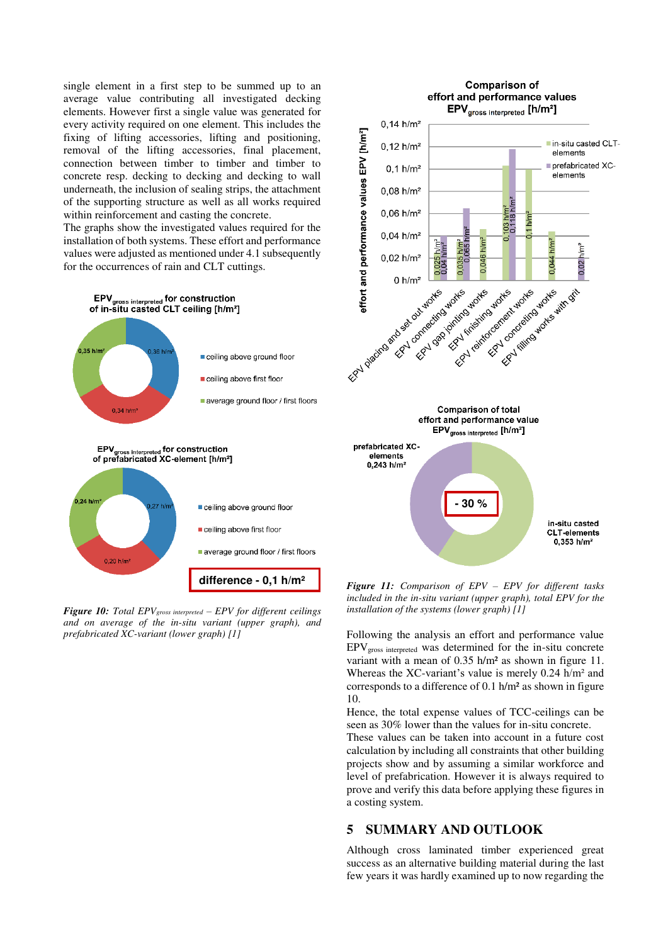single element in a first step to be summed up to an average value contributing all investigated decking elements. However first a single value was generated for every activity required on one element. This includes the fixing of lifting accessories, lifting and positioning, removal of the lifting accessories, final placement, connection between timber to timber and timber to concrete resp. decking to decking and decking to wall underneath, the inclusion of sealing strips, the attachment of the supporting structure as well as all works required within reinforcement and casting the concrete.

The graphs show the investigated values required for the installation of both systems. These effort and performance values were adjusted as mentioned under 4.1 subsequently for the occurrences of rain and CLT cuttings.



*Figure 10: Total EPVgross interpreted – EPV for different ceilings and on average of the in-situ variant (upper graph), and prefabricated XC-variant (lower graph) [1]*



*Figure 11: Comparison of EPV – EPV for different tasks included in the in-situ variant (upper graph), total EPV for the installation of the systems (lower graph) [1]*

Following the analysis an effort and performance value  $EPV<sub>gross</sub>$  interpreted was determined for the in-situ concrete variant with a mean of 0.35 h/m² as shown in figure 11. Whereas the XC-variant's value is merely  $0.24$  h/m<sup>2</sup> and corresponds to a difference of 0.1 h/m² as shown in figure 10.

Hence, the total expense values of TCC-ceilings can be seen as 30% lower than the values for in-situ concrete.

These values can be taken into account in a future cost calculation by including all constraints that other building projects show and by assuming a similar workforce and level of prefabrication. However it is always required to prove and verify this data before applying these figures in a costing system.

## **5 SUMMARY AND OUTLOOK**

Although cross laminated timber experienced great success as an alternative building material during the last few years it was hardly examined up to now regarding the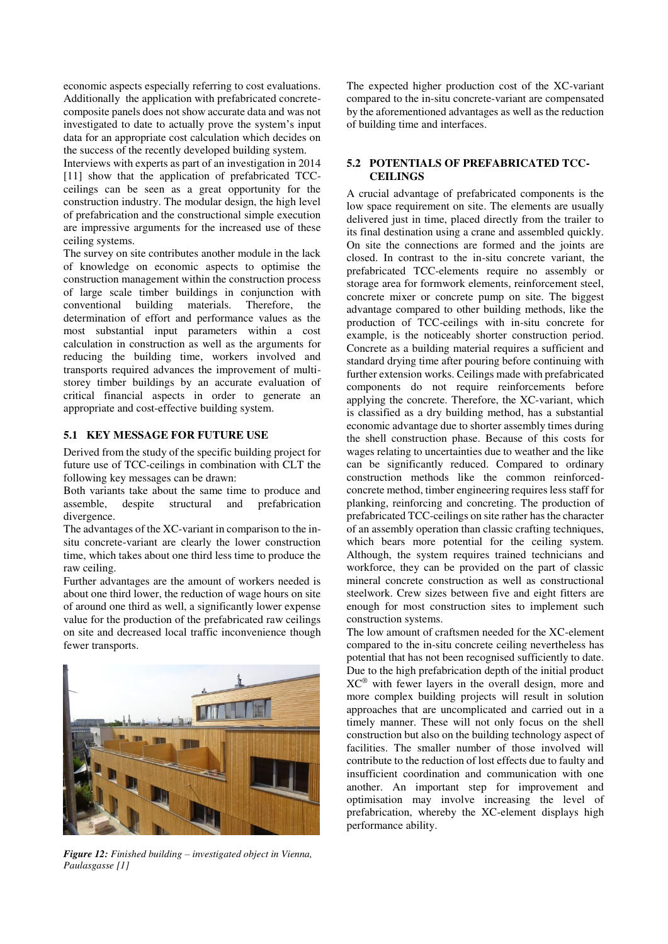economic aspects especially referring to cost evaluations. Additionally the application with prefabricated concretecomposite panels does not show accurate data and was not investigated to date to actually prove the system's input data for an appropriate cost calculation which decides on the success of the recently developed building system.

Interviews with experts as part of an investigation in 2014 [11] show that the application of prefabricated TCCceilings can be seen as a great opportunity for the construction industry. The modular design, the high level of prefabrication and the constructional simple execution are impressive arguments for the increased use of these ceiling systems.

The survey on site contributes another module in the lack of knowledge on economic aspects to optimise the construction management within the construction process of large scale timber buildings in conjunction with conventional building materials. Therefore, the determination of effort and performance values as the most substantial input parameters within a cost calculation in construction as well as the arguments for reducing the building time, workers involved and transports required advances the improvement of multistorey timber buildings by an accurate evaluation of critical financial aspects in order to generate an appropriate and cost-effective building system.

#### **5.1 KEY MESSAGE FOR FUTURE USE**

Derived from the study of the specific building project for future use of TCC-ceilings in combination with CLT the following key messages can be drawn:

Both variants take about the same time to produce and assemble, despite structural and prefabrication divergence.

The advantages of the XC-variant in comparison to the insitu concrete-variant are clearly the lower construction time, which takes about one third less time to produce the raw ceiling.

Further advantages are the amount of workers needed is about one third lower, the reduction of wage hours on site of around one third as well, a significantly lower expense value for the production of the prefabricated raw ceilings on site and decreased local traffic inconvenience though fewer transports.



*Figure 12: Finished building – investigated object in Vienna, Paulasgasse [1]*

The expected higher production cost of the XC-variant compared to the in-situ concrete-variant are compensated by the aforementioned advantages as well as the reduction of building time and interfaces.

#### **5.2 POTENTIALS OF PREFABRICATED TCC-CEILINGS**

A crucial advantage of prefabricated components is the low space requirement on site. The elements are usually delivered just in time, placed directly from the trailer to its final destination using a crane and assembled quickly. On site the connections are formed and the joints are closed. In contrast to the in-situ concrete variant, the prefabricated TCC-elements require no assembly or storage area for formwork elements, reinforcement steel, concrete mixer or concrete pump on site. The biggest advantage compared to other building methods, like the production of TCC-ceilings with in-situ concrete for example, is the noticeably shorter construction period. Concrete as a building material requires a sufficient and standard drying time after pouring before continuing with further extension works. Ceilings made with prefabricated components do not require reinforcements before applying the concrete. Therefore, the XC-variant, which is classified as a dry building method, has a substantial economic advantage due to shorter assembly times during the shell construction phase. Because of this costs for wages relating to uncertainties due to weather and the like can be significantly reduced. Compared to ordinary construction methods like the common reinforcedconcrete method, timber engineering requires less staff for planking, reinforcing and concreting. The production of prefabricated TCC-ceilings on site rather has the character of an assembly operation than classic crafting techniques, which bears more potential for the ceiling system. Although, the system requires trained technicians and workforce, they can be provided on the part of classic mineral concrete construction as well as constructional steelwork. Crew sizes between five and eight fitters are enough for most construction sites to implement such construction systems.

The low amount of craftsmen needed for the XC-element compared to the in-situ concrete ceiling nevertheless has potential that has not been recognised sufficiently to date. Due to the high prefabrication depth of the initial product XC® with fewer layers in the overall design, more and more complex building projects will result in solution approaches that are uncomplicated and carried out in a timely manner. These will not only focus on the shell construction but also on the building technology aspect of facilities. The smaller number of those involved will contribute to the reduction of lost effects due to faulty and insufficient coordination and communication with one another. An important step for improvement and optimisation may involve increasing the level of prefabrication, whereby the XC-element displays high performance ability.